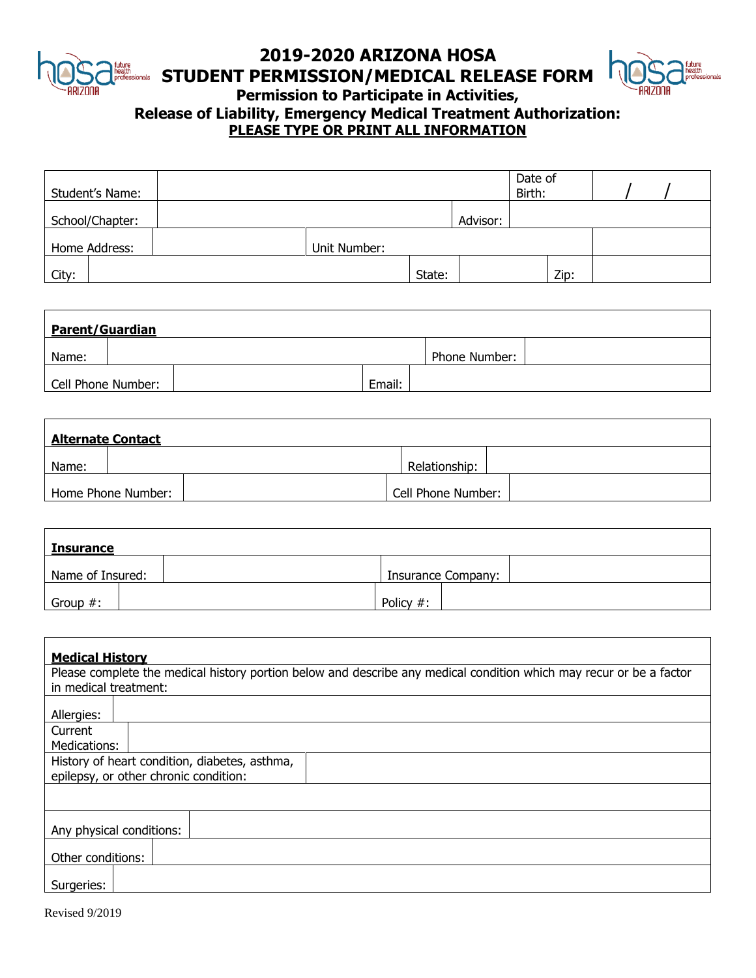

# **2019-2020 ARIZONA HOSA**



**STUDENT PERMISSION/MEDICAL RELEASE FORM**

**Permission to Participate in Activities,** 

### **Release of Liability, Emergency Medical Treatment Authorization: PLEASE TYPE OR PRINT ALL INFORMATION**

| Student's Name: |              |        |          | Date of<br>Birth: |      |  |  |
|-----------------|--------------|--------|----------|-------------------|------|--|--|
| School/Chapter: |              |        | Advisor: |                   |      |  |  |
| Home Address:   | Unit Number: |        |          |                   |      |  |  |
| City:           |              | State: |          |                   | Zip: |  |  |

| <b>Parent/Guardian</b> |  |               |  |  |  |
|------------------------|--|---------------|--|--|--|
| Name:                  |  | Phone Number: |  |  |  |
| Cell Phone Number:     |  | Email:        |  |  |  |

| <b>Alternate Contact</b> |                    |                    |  |  |  |
|--------------------------|--------------------|--------------------|--|--|--|
| Name:                    |                    | Relationship:      |  |  |  |
|                          | Home Phone Number: | Cell Phone Number: |  |  |  |

| <b>Insurance</b> |  |                    |  |  |  |
|------------------|--|--------------------|--|--|--|
| Name of Insured: |  | Insurance Company: |  |  |  |
| Group $#$ :      |  | Policy #:          |  |  |  |

| <b>Medical History</b>                                                                                              |  |  |  |  |  |
|---------------------------------------------------------------------------------------------------------------------|--|--|--|--|--|
| Please complete the medical history portion below and describe any medical condition which may recur or be a factor |  |  |  |  |  |
| in medical treatment:                                                                                               |  |  |  |  |  |
| Allergies:                                                                                                          |  |  |  |  |  |
| Current                                                                                                             |  |  |  |  |  |
| Medications:                                                                                                        |  |  |  |  |  |
| History of heart condition, diabetes, asthma,                                                                       |  |  |  |  |  |
| epilepsy, or other chronic condition:                                                                               |  |  |  |  |  |
|                                                                                                                     |  |  |  |  |  |
| Any physical conditions:                                                                                            |  |  |  |  |  |
| Other conditions:                                                                                                   |  |  |  |  |  |
| Surgeries:                                                                                                          |  |  |  |  |  |
|                                                                                                                     |  |  |  |  |  |